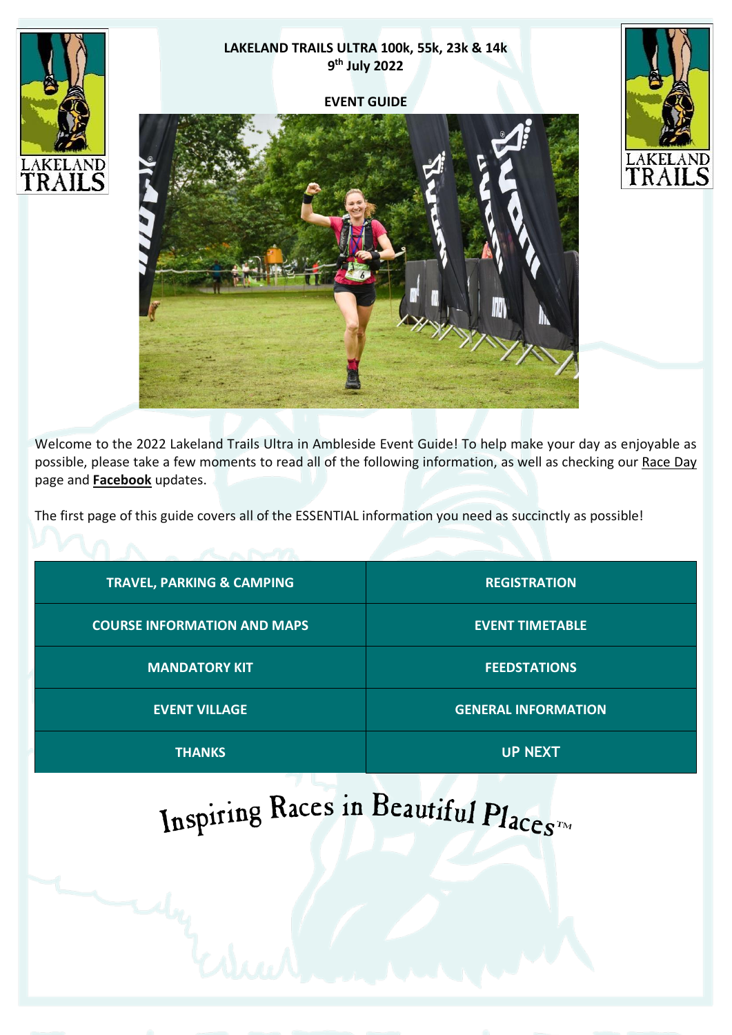# **LAKELAND TRAILS ULTRA 100k, 55k, 23k & 14k 9 th July 2022**

#### **EVENT GUIDE**







Welcome to the 2022 Lakeland Trails Ultra in Ambleside Event Guide! To help make your day as enjoyable as possible, please take a few moments to read all of the following information, as well as checking our [Race](https://www.lakelandtrails.org/ultra#information) Day page and **[Facebook](http://www.facebook.com/lakelandtrails)** updates.

The first page of this guide covers all of the ESSENTIAL information you need as succinctly as possible!

| <b>TRAVEL, PARKING &amp; CAMPING</b> | <b>REGISTRATION</b>        |
|--------------------------------------|----------------------------|
| <b>COURSE INFORMATION AND MAPS</b>   | <b>EVENT TIMETABLE</b>     |
| <b>MANDATORY KIT</b>                 | <b>FEEDSTATIONS</b>        |
| <b>EVENT VILLAGE</b>                 | <b>GENERAL INFORMATION</b> |
| <b>THANKS</b>                        | <b>UP NEXT</b>             |

# Inspiring Races in Beautiful Places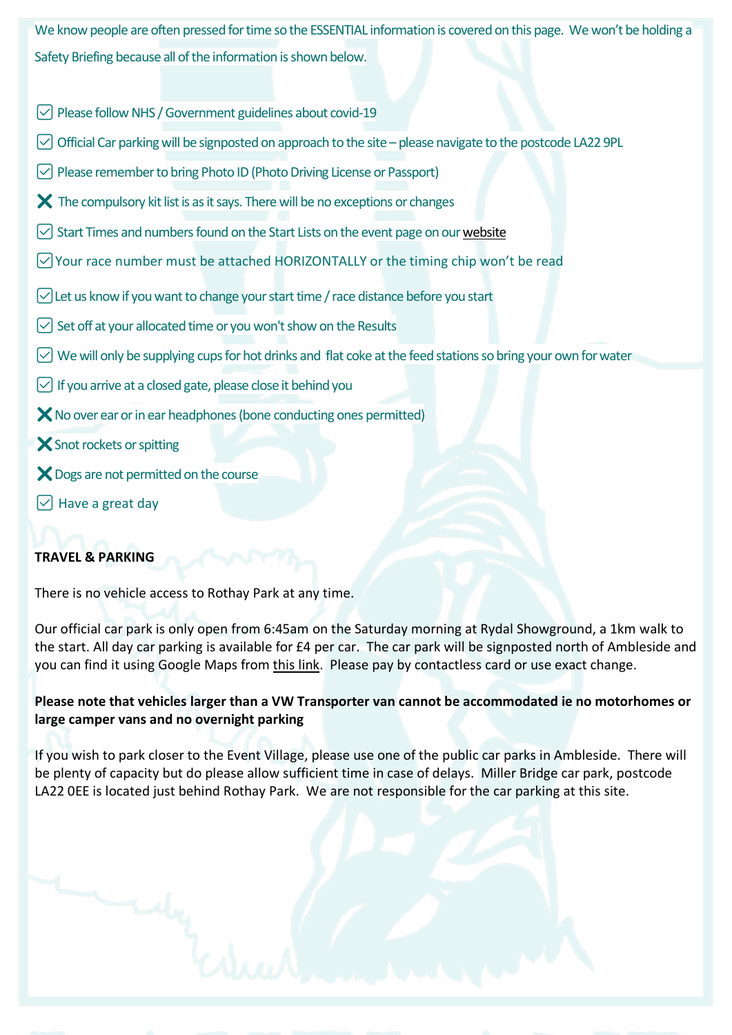We know people are often pressed for time so the ESSENTIAL information is covered on this page. We won't be holding a Safety Briefing because all of the information is shown below.

- $\vee$  Please follow NHS / Government guidelines about covid-19
- $\heartsuit$  Official Car parking will be signposted on approach to the site please navigate to the postcode LA22 9PL
- $\vee$  Please remember to bring Photo ID (Photo Driving License or Passport)
- $\boldsymbol{\times}$  The compulsory kit list is as it says. There will be no exceptions or changes
- $\vee$  Start Times and numbers found on the Start Lists on the event page on our website
- $\vee$  Your race number must be attached HORIZONTALLY or the timing chip won't be read
- $\vee$  Let us know if you want to change your start time / race distance before you start
- $\vee$  Set off at your allocated time or you won't show on the Results
- $\heartsuit$  We will only be supplying cups for hot drinks and flat coke at the feed stations so bring your own for water
- $\vee$  If you arrive at a closed gate, please close it behind you
- $\mathsf{\times}$  No over ear or in ear headphones (bone conducting ones permitted)
- $\mathsf{\times}$  Snot rockets or spitting
- X Dogs are not permitted on the course
- $\vee$  Have a great day

# <span id="page-1-0"></span>**TRAVEL & PARKING**

There is no vehicle access to Rothay Park at any time.

Our official car park is only open from 6:45am on the Saturday morning at Rydal Showground, a 1km walk to the start. All day car parking is available for £4 per car. The car park will be signposted north of Ambleside and you can find it using Google Maps from this [link.](https://goo.gl/maps/466jBfH7BjQ1mno37) Please pay by contactless card or use exact change.

## **Please note that vehicles larger than a VW Transporter van cannot be accommodated ie no motorhomes or large camper vans and no overnight parking**

If you wish to park closer to the Event Village, please use one of the public car parks in Ambleside. There will be plenty of capacity but do please allow sufficient time in case of delays. Miller Bridge car park, postcode LA22 0EE is located just behind Rothay Park. We are not responsible for the car parking at this site.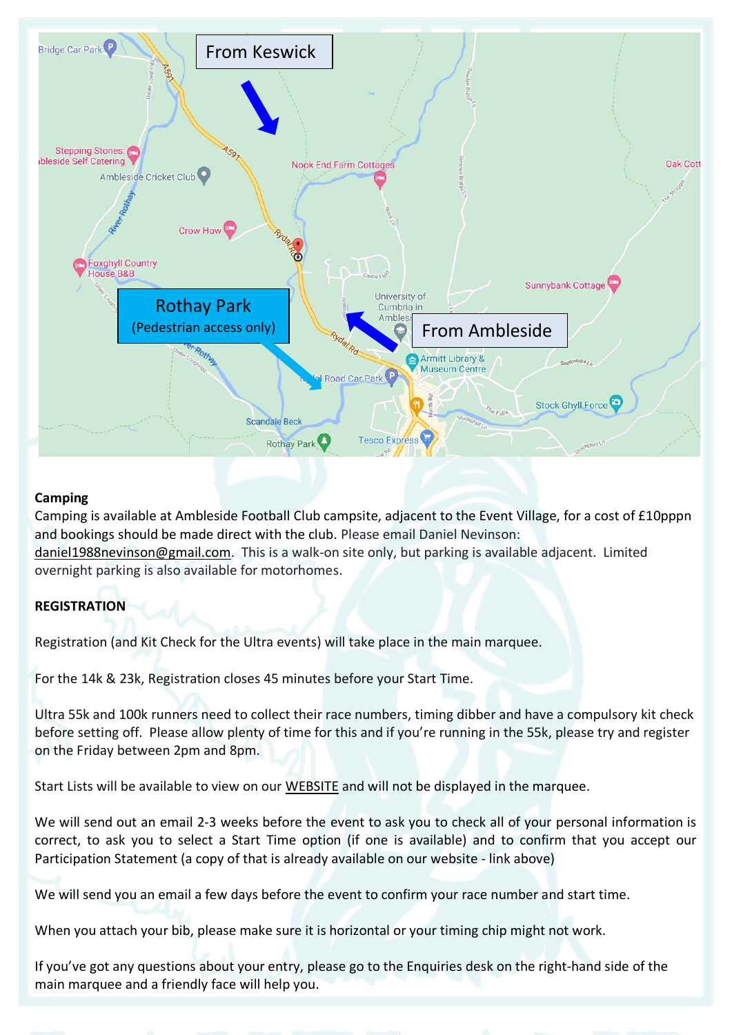

## **Camping**

Camping is available at Ambleside Football Club campsite, adjacent to the Event Village, for a cost of £10pppn and bookings should be made direct with the club. Please email Daniel Nevinson: [daniel1988nevinson@gmail.com.](mailto:daniel1988nevinson@gmail.com) This is a walk-on site only, but parking is available adjacent. Limited overnight parking is also available for motorhomes.

# <span id="page-2-0"></span>**REGISTRATION**

Registration (and Kit Check for the Ultra events) will take place in the main marquee.

For the 14k & 23k, Registration closes 45 minutes before your Start Time.

Ultra 55k and 100k runners need to collect their race numbers, timing dibber and have a compulsory kit check before setting off. Please allow plenty of time for this and if you're running in the 55k, please try and register on the Friday between 2pm and 8pm.

Start Lists will be available to view on our [WEBSITE](https://www.lakelandtrails.org/) and will not be displayed in the marquee.

We will send out an email 2-3 weeks before the event to ask you to check all of your personal information is correct, to ask you to select a Start Time option (if one is available) and to confirm that you accept our Participation Statement (a copy of that is already available on our website - link above)

We will send you an email a few days before the event to confirm your race number and start time.

When you attach your bib, please make sure it is horizontal or your timing chip might not work.

If you've got any questions about your entry, please go to the Enquiries desk on the right-hand side of the main marquee and a friendly face will help you.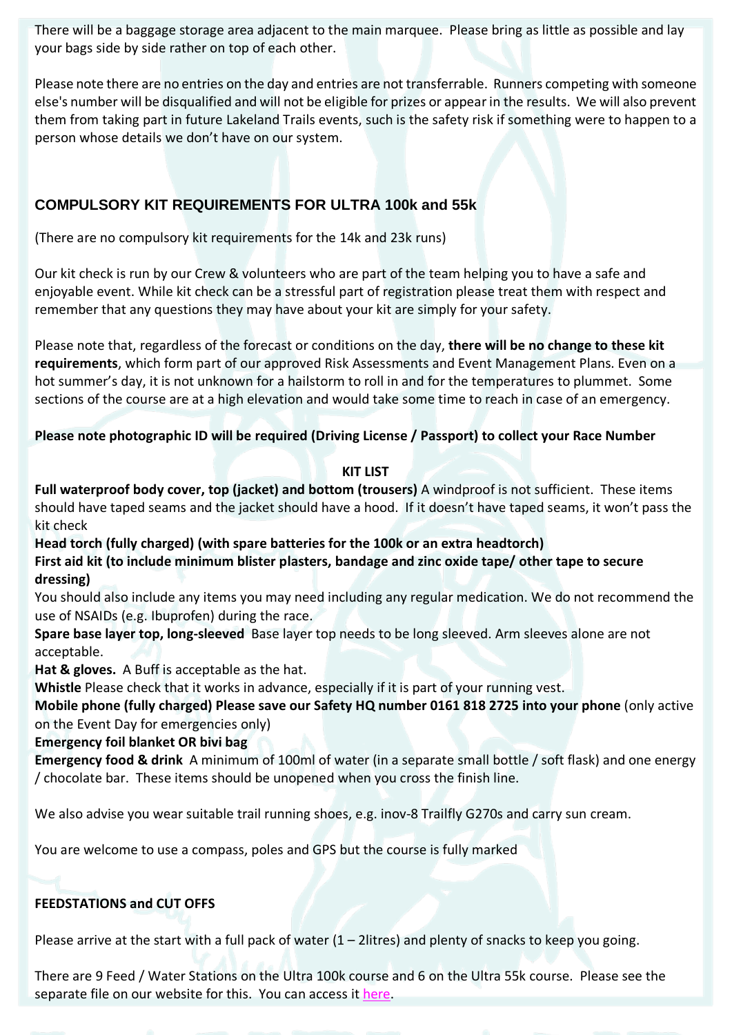There will be a baggage storage area adjacent to the main marquee. Please bring as little as possible and lay your bags side by side rather on top of each other.

Please note there are no entries on the day and entries are not transferrable. Runners competing with someone else's number will be disqualified and will not be eligible for prizes or appearin the results. We will also prevent them from taking part in future Lakeland Trails events, such is the safety risk if something were to happen to a person whose details we don't have on our system.

# <span id="page-3-0"></span>**COMPULSORY KIT REQUIREMENTS FOR ULTRA 100k and 55k**

(There are no compulsory kit requirements for the 14k and 23k runs)

Our kit check is run by our Crew & volunteers who are part of the team helping you to have a safe and enjoyable event. While kit check can be a stressful part of registration please treat them with respect and remember that any questions they may have about your kit are simply for your safety.

Please note that, regardless of the forecast or conditions on the day, **there will be no change to these kit requirements**, which form part of our approved Risk Assessments and Event Management Plans. Even on a hot summer's day, it is not unknown for a hailstorm to roll in and for the temperatures to plummet. Some sections of the course are at a high elevation and would take some time to reach in case of an emergency.

## **Please note photographic ID will be required (Driving License / Passport) to collect your Race Number**

#### **KIT LIST**

**Full waterproof body cover, top (jacket) and bottom (trousers)** A windproof is not sufficient. These items should have taped seams and the jacket should have a hood. If it doesn't have taped seams, it won't pass the kit check

**Head torch (fully charged) (with spare batteries for the 100k or an extra headtorch) First aid kit (to include minimum blister plasters, bandage and zinc oxide tape/ other tape to secure dressing)**

You should also include any items you may need including any regular medication. We do not recommend the use of NSAIDs (e.g. Ibuprofen) during the race.

**Spare base layer top, long-sleeved** Base layer top needs to be long sleeved. Arm sleeves alone are not acceptable.

**Hat & gloves.** A Buff is acceptable as the hat.

**Whistle** Please check that it works in advance, especially if it is part of your running vest.

**Mobile phone (fully charged) Please save our Safety HQ number 0161 818 2725 into your phone** (only active on the Event Day for emergencies only)

**Emergency foil blanket OR bivi bag**

**Emergency food & drink** A minimum of 100ml of water (in a separate small bottle / soft flask) and one energy / chocolate bar. These items should be unopened when you cross the finish line.

We also advise you wear suitable trail running shoes, e.g. inov-8 Trailfly G270s and carry sun cream.

You are welcome to use a compass, poles and GPS but the course is fully marked

# <span id="page-3-1"></span>**FEEDSTATIONS and CUT OFFS**

Please arrive at the start with a full pack of water  $(1 - 2)$ litres) and plenty of snacks to keep you going.

There are 9 Feed / Water Stations on the Ultra 100k course and 6 on the Ultra 55k course. Please see the separate file on our website for this. You can access it [here.](https://www.lakelandtrails.org/downloads/Ultra-55k-and-100k-Feed-Stations-2022.pdf)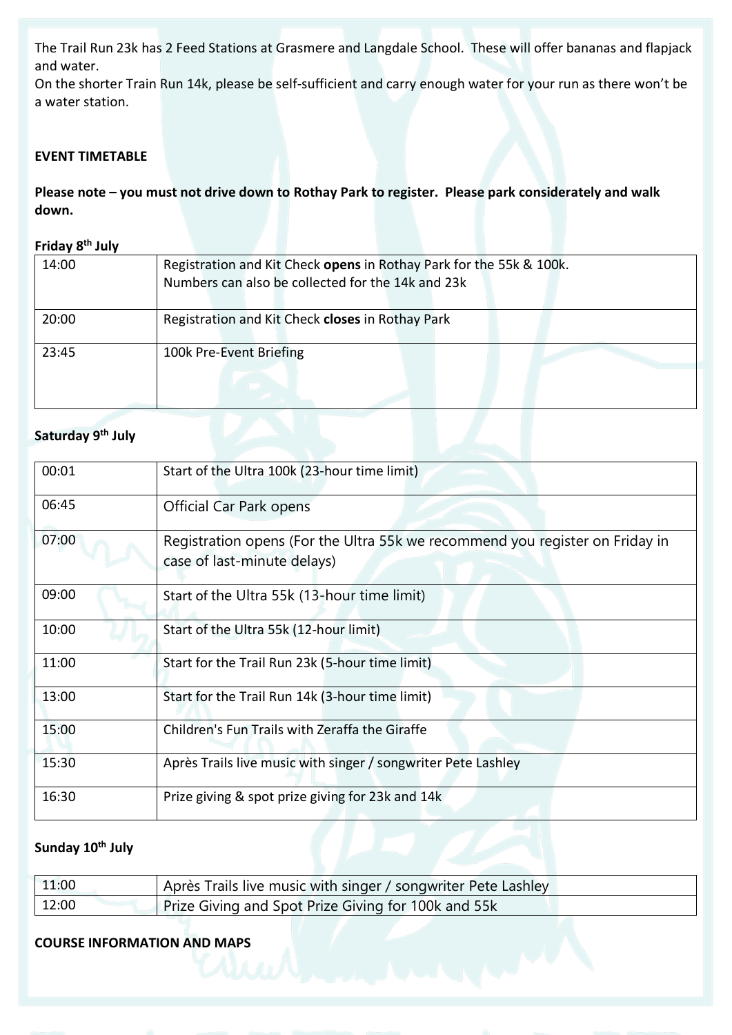The Trail Run 23k has 2 Feed Stations at Grasmere and Langdale School. These will offer bananas and flapjack and water.

On the shorter Train Run 14k, please be self-sufficient and carry enough water for your run as there won't be a water station.

#### <span id="page-4-1"></span>**EVENT TIMETABLE**

**Please note – you must not drive down to Rothay Park to register. Please park considerately and walk down.**

#### **Friday 8 th July**

| 14:00 | Registration and Kit Check opens in Rothay Park for the 55k & 100k.<br>Numbers can also be collected for the 14k and 23k |  |
|-------|--------------------------------------------------------------------------------------------------------------------------|--|
|       |                                                                                                                          |  |
| 20:00 | Registration and Kit Check closes in Rothay Park                                                                         |  |
| 23:45 | 100k Pre-Event Briefing                                                                                                  |  |
|       |                                                                                                                          |  |

#### **Saturday 9 th July**

| 00:01 | Start of the Ultra 100k (23-hour time limit)                                                                |
|-------|-------------------------------------------------------------------------------------------------------------|
| 06:45 | <b>Official Car Park opens</b>                                                                              |
| 07:00 | Registration opens (For the Ultra 55k we recommend you register on Friday in<br>case of last-minute delays) |
| 09:00 | Start of the Ultra 55k (13-hour time limit)                                                                 |
| 10:00 | Start of the Ultra 55k (12-hour limit)                                                                      |
| 11:00 | Start for the Trail Run 23k (5-hour time limit)                                                             |
| 13:00 | Start for the Trail Run 14k (3-hour time limit)                                                             |
| 15:00 | Children's Fun Trails with Zeraffa the Giraffe                                                              |
| 15:30 | Après Trails live music with singer / songwriter Pete Lashley                                               |
| 16:30 | Prize giving & spot prize giving for 23k and 14k                                                            |

## **Sunday 10th July**

| 11:00 | Après Trails live music with singer / songwriter Pete Lashley |
|-------|---------------------------------------------------------------|
| 12:00 | Prize Giving and Spot Prize Giving for 100k and 55k           |

# <span id="page-4-0"></span>**COURSE INFORMATION AND MAPS**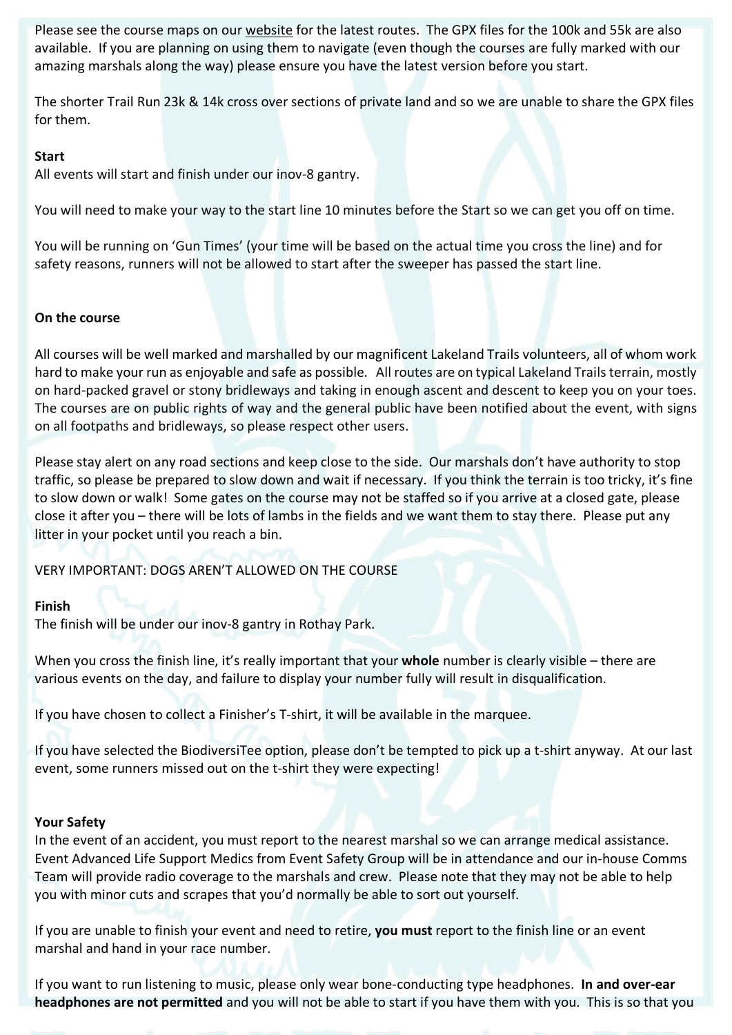Please see the course maps on our [website](https://www.lakelandtrails.org/ultra) for the latest routes. The GPX files for the 100k and 55k are also available. If you are planning on using them to navigate (even though the courses are fully marked with our amazing marshals along the way) please ensure you have the latest version before you start.

The shorter Trail Run 23k & 14k cross over sections of private land and so we are unable to share the GPX files for them.

#### **Start**

All events will start and finish under our inov-8 gantry.

You will need to make your way to the start line 10 minutes before the Start so we can get you off on time.

You will be running on 'Gun Times' (your time will be based on the actual time you cross the line) and for safety reasons, runners will not be allowed to start after the sweeper has passed the start line.

#### **On the course**

All courses will be well marked and marshalled by our magnificent Lakeland Trails volunteers, all of whom work hard to make your run as enjoyable and safe as possible. All routes are on typical Lakeland Trails terrain, mostly on hard-packed gravel or stony bridleways and taking in enough ascent and descent to keep you on your toes. The courses are on public rights of way and the general public have been notified about the event, with signs on all footpaths and bridleways, so please respect other users.

Please stay alert on any road sections and keep close to the side. Our marshals don't have authority to stop traffic, so please be prepared to slow down and wait if necessary. If you think the terrain is too tricky, it's fine to slow down or walk! Some gates on the course may not be staffed so if you arrive at a closed gate, please close it after you – there will be lots of lambs in the fields and we want them to stay there. Please put any litter in your pocket until you reach a bin.

VERY IMPORTANT: DOGS AREN'T ALLOWED ON THE COURSE

#### **Finish**

The finish will be under our inov-8 gantry in Rothay Park.

When you cross the finish line, it's really important that your **whole** number is clearly visible – there are various events on the day, and failure to display your number fully will result in disqualification.

If you have chosen to collect a Finisher's T-shirt, it will be available in the marquee.

If you have selected the BiodiversiTee option, please don't be tempted to pick up a t-shirt anyway. At our last event, some runners missed out on the t-shirt they were expecting!

#### **Your Safety**

In the event of an accident, you must report to the nearest marshal so we can arrange medical assistance. Event Advanced Life Support Medics from Event Safety Group will be in attendance and our in-house Comms Team will provide radio coverage to the marshals and crew. Please note that they may not be able to help you with minor cuts and scrapes that you'd normally be able to sort out yourself.

If you are unable to finish your event and need to retire, **you must** report to the finish line or an event marshal and hand in your race number.

If you want to run listening to music, please only wear bone-conducting type headphones. **In and over-ear headphones are not permitted** and you will not be able to start if you have them with you. This is so that you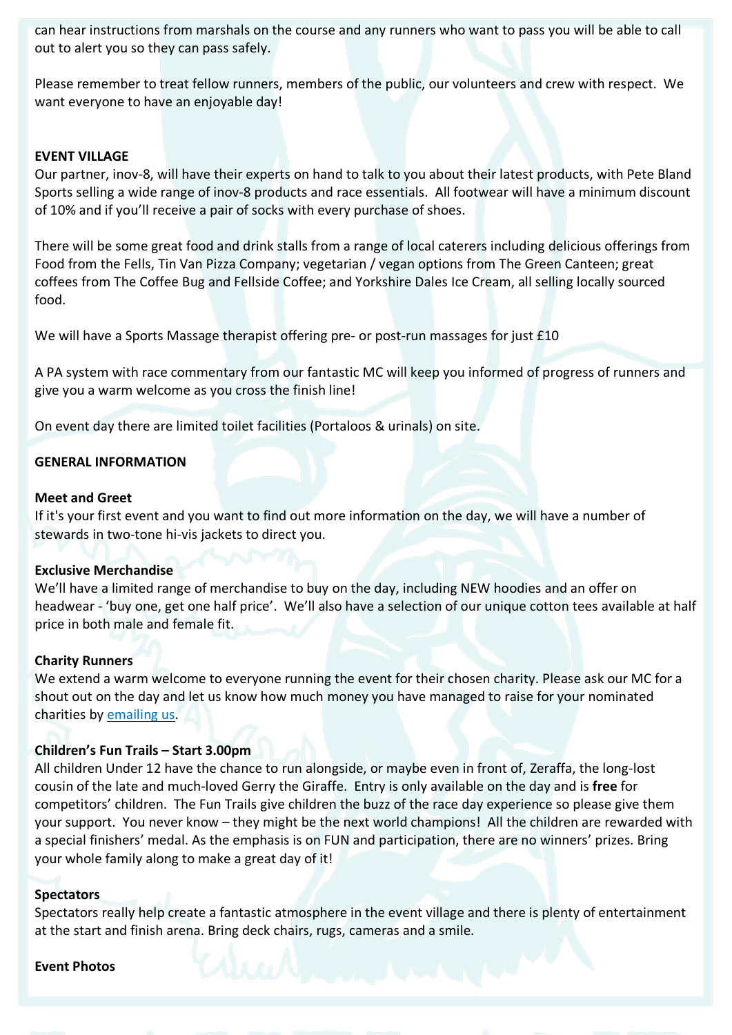can hear instructions from marshals on the course and any runners who want to pass you will be able to call out to alert you so they can pass safely.

Please remember to treat fellow runners, members of the public, our volunteers and crew with respect. We want everyone to have an enjoyable day!

#### <span id="page-6-0"></span>**EVENT VILLAGE**

Our partner, inov-8, will have their experts on hand to talk to you about their latest products, with Pete Bland Sports selling a wide range of inov-8 products and race essentials. All footwear will have a minimum discount of 10% and if you'll receive a pair of socks with every purchase of shoes.

There will be some great food and drink stalls from a range of local caterers including delicious offerings from Food from the Fells, Tin Van Pizza Company; vegetarian / vegan options from The Green Canteen; great coffees from The Coffee Bug and Fellside Coffee; and Yorkshire Dales Ice Cream, all selling locally sourced food.

We will have a Sports Massage therapist offering pre- or post-run massages for just £10

A PA system with race commentary from our fantastic MC will keep you informed of progress of runners and give you a warm welcome as you cross the finish line!

On event day there are limited toilet facilities (Portaloos & urinals) on site.

#### <span id="page-6-1"></span>**GENERAL INFORMATION**

#### **Meet and Greet**

If it's your first event and you want to find out more information on the day, we will have a number of stewards in two-tone hi-vis jackets to direct you.

#### **Exclusive Merchandise**

We'll have a limited range of merchandise to buy on the day, including NEW hoodies and an offer on headwear - 'buy one, get one half price'. We'll also have a selection of our unique cotton tees available at half price in both male and female fit.

#### **Charity Runners**

We extend a warm welcome to everyone running the event for their chosen charity. Please ask our MC for a shout out on the day and let us know how much money you have managed to raise for your nominated charities by [emailing](mailto:mail@lakelandtrails.org?subject=Running%20for%20Charity) us.

#### **Children's Fun Trails – Start 3.00pm**

All children Under 12 have the chance to run alongside, or maybe even in front of, Zeraffa, the long-lost cousin of the late and much-loved Gerry the Giraffe. Entry is only available on the day and is **free** for competitors' children. The Fun Trails give children the buzz of the race day experience so please give them your support. You never know – they might be the next world champions! All the children are rewarded with a special finishers' medal. As the emphasis is on FUN and participation, there are no winners' prizes. Bring your whole family along to make a great day of it!

#### **Spectators**

Spectators really help create a fantastic atmosphere in the event village and there is plenty of entertainment at the start and finish arena. Bring deck chairs, rugs, cameras and a smile.

#### **Event Photos**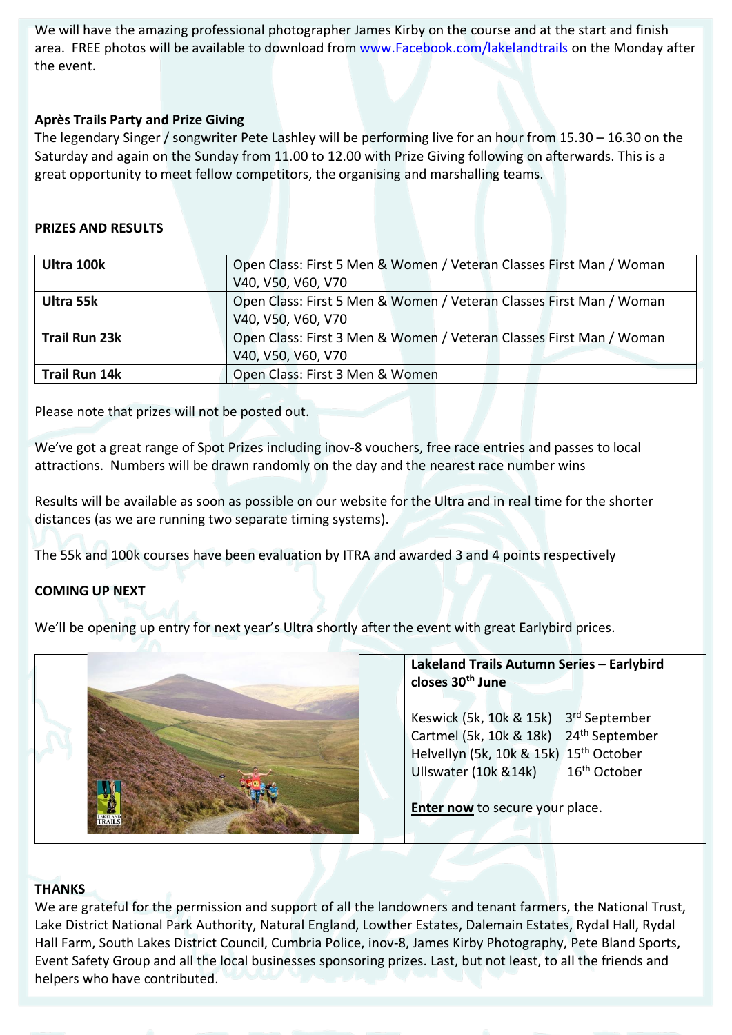We will have the amazing professional photographer James Kirby on the course and at the start and finish area. FREE photos will be available to download from [www.Facebook.com/lakelandtrails](http://www.facebook.com/lakelandtrails) on the Monday after the event.

### **Après Trails Party and Prize Giving**

The legendary Singer / songwriter Pete Lashley will be performing live for an hour from 15.30 – 16.30 on the Saturday and again on the Sunday from 11.00 to 12.00 with Prize Giving following on afterwards. This is a great opportunity to meet fellow competitors, the organising and marshalling teams.

#### **PRIZES AND RESULTS**

| Ultra 100k           | Open Class: First 5 Men & Women / Veteran Classes First Man / Woman |
|----------------------|---------------------------------------------------------------------|
|                      | V40, V50, V60, V70                                                  |
| Ultra 55k            | Open Class: First 5 Men & Women / Veteran Classes First Man / Woman |
|                      | V40, V50, V60, V70                                                  |
| <b>Trail Run 23k</b> | Open Class: First 3 Men & Women / Veteran Classes First Man / Woman |
|                      | V40, V50, V60, V70                                                  |
| <b>Trail Run 14k</b> | Open Class: First 3 Men & Women                                     |

Please note that prizes will not be posted out.

We've got a great range of Spot Prizes including inov-8 vouchers, free race entries and passes to local attractions. Numbers will be drawn randomly on the day and the nearest race number wins

Results will be available as soon as possible on our website for the Ultra and in real time for the shorter distances (as we are running two separate timing systems).

The 55k and 100k courses have been evaluation by ITRA and awarded 3 and 4 points respectively

## <span id="page-7-1"></span>**COMING UP NEXT**

We'll be opening up entry for next year's Ultra shortly after the event with great Earlybird prices.



#### **Lakeland Trails Autumn Series – Earlybird closes 30th June**

Keswick (5k, 10k & 15k) 3rd September Cartmel (5k, 10k & 18k) 24<sup>th</sup> September Helvellyn (5k, 10k & 15k) 15<sup>th</sup> October Ullswater (10k &14k) 16<sup>th</sup> October

**[Enter](http://www.lakelandtrails.org/) now** to secure your place.

#### <span id="page-7-0"></span>**THANKS**

We are grateful for the permission and support of all the landowners and tenant farmers, the National Trust, Lake District National Park Authority, Natural England, Lowther Estates, Dalemain Estates, Rydal Hall, Rydal Hall Farm, South Lakes District Council, Cumbria Police, inov-8, James Kirby Photography, Pete Bland Sports, Event Safety Group and all the local businesses sponsoring prizes. Last, but not least, to all the friends and helpers who have contributed.